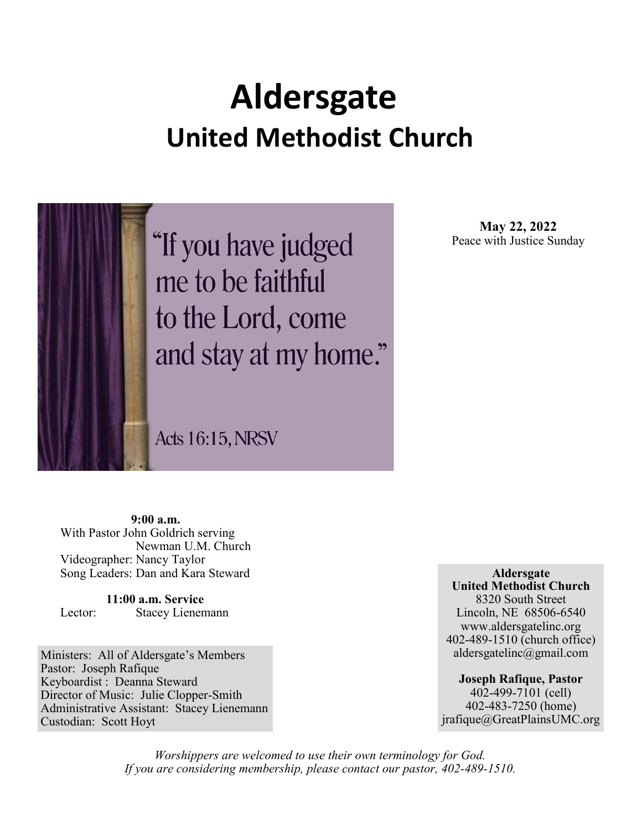# **Aldersgate United Methodist Church**

"If you have judged me to be faithful to the Lord, come and stay at my home."

**Acts 16:15, NRSV** 

**May 22, 2022** Peace with Justice Sunday

**9:00 a.m.** With Pastor John Goldrich serving Newman U.M. Church Videographer: Nancy Taylor Song Leaders: Dan and Kara Steward

**11:00 a.m. Service** Lector: Stacey Lienemann

Ministers: All of Aldersgate's Members Pastor: Joseph Rafique Keyboardist : Deanna Steward Director of Music: Julie Clopper-Smith Administrative Assistant: Stacey Lienemann Custodian: Scott Hoyt

**Aldersgate United Methodist Church** 8320 South Street Lincoln, NE 68506-6540 www.aldersgatelinc.org 402-489-1510 (church office) aldersgatelinc@gmail.com

**Joseph Rafique, Pastor** 402-499-7101 (cell) 402-483-7250 (home) jrafique@GreatPlainsUMC.org

*Worshippers are welcomed to use their own terminology for God. If you are considering membership, please contact our pastor, 402-489-1510.*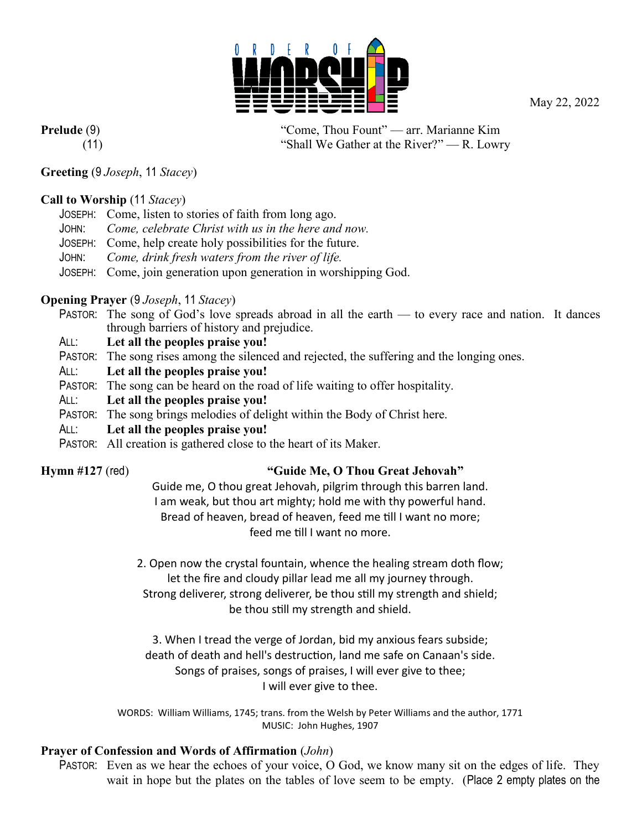May 22, 2022



**Prelude** (9) "Come, Thou Fount" — arr. Marianne Kim (11) "Shall We Gather at the River?" — R. Lowry

### **Greeting** (9 *Joseph*, 11 *Stacey*)

### **Call to Worship** (11 *Stacey*)

- JOSEPH: Come, listen to stories of faith from long ago.
- JOHN: *Come, celebrate Christ with us in the here and now.*
- JOSEPH: Come, help create holy possibilities for the future.
- JOHN: *Come, drink fresh waters from the river of life.*
- JOSEPH: Come, join generation upon generation in worshipping God.

### **Opening Prayer** (9 *Joseph*, 11 *Stacey*)

- PASTOR: The song of God's love spreads abroad in all the earth to every race and nation. It dances through barriers of history and prejudice.
- ALL: **Let all the peoples praise you!**
- PASTOR: The song rises among the silenced and rejected, the suffering and the longing ones.
- ALL: **Let all the peoples praise you!**
- PASTOR: The song can be heard on the road of life waiting to offer hospitality.
- ALL: **Let all the peoples praise you!**
- PASTOR: The song brings melodies of delight within the Body of Christ here.
- ALL: **Let all the peoples praise you!**
- PASTOR: All creation is gathered close to the heart of its Maker.

### **Hymn #127** (red) **"Guide Me, O Thou Great Jehovah"**

Guide me, O thou great Jehovah, pilgrim through this barren land. I am weak, but thou art mighty; hold me with thy powerful hand. Bread of heaven, bread of heaven, feed me till I want no more; feed me till I want no more.

2. Open now the crystal fountain, whence the healing stream doth flow; let the fire and cloudy pillar lead me all my journey through. Strong deliverer, strong deliverer, be thou still my strength and shield; be thou still my strength and shield.

3. When I tread the verge of Jordan, bid my anxious fears subside; death of death and hell's destruction, land me safe on Canaan's side. Songs of praises, songs of praises, I will ever give to thee; I will ever give to thee.

WORDS: William Williams, 1745; trans. from the Welsh by Peter Williams and the author, 1771 MUSIC: John Hughes, 1907

### **Prayer of Confession and Words of Affirmation** (*John*)

PASTOR: Even as we hear the echoes of your voice, O God, we know many sit on the edges of life. They wait in hope but the plates on the tables of love seem to be empty. (Place 2 empty plates on the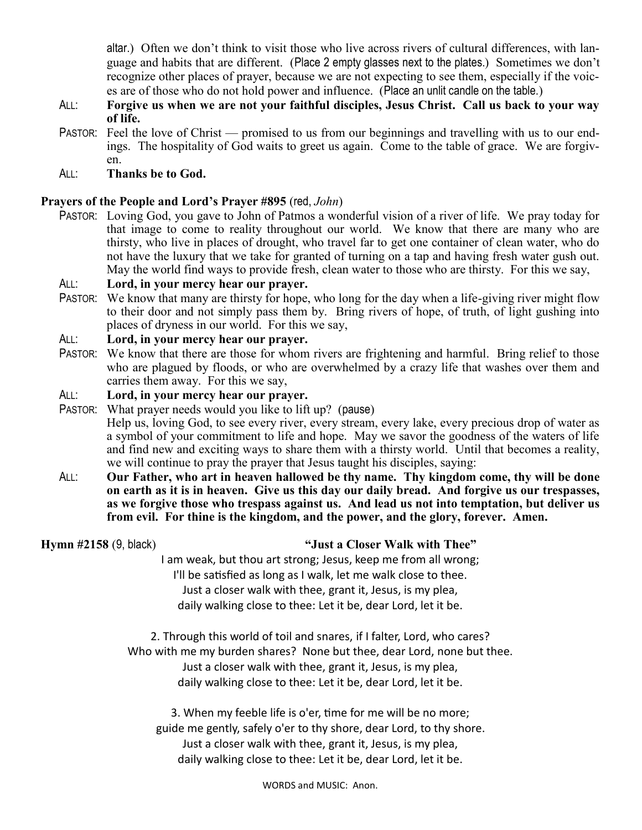altar.) Often we don't think to visit those who live across rivers of cultural differences, with language and habits that are different. (Place 2 empty glasses next to the plates.) Sometimes we don't recognize other places of prayer, because we are not expecting to see them, especially if the voices are of those who do not hold power and influence. (Place an unlit candle on the table.)

- ALL: **Forgive us when we are not your faithful disciples, Jesus Christ. Call us back to your way of life.**
- PASTOR: Feel the love of Christ promised to us from our beginnings and travelling with us to our endings. The hospitality of God waits to greet us again. Come to the table of grace. We are forgiven.
- ALL: **Thanks be to God.**

### **Prayers of the People and Lord's Prayer #895** (red, *John*)

PASTOR: Loving God, you gave to John of Patmos a wonderful vision of a river of life. We pray today for that image to come to reality throughout our world. We know that there are many who are thirsty, who live in places of drought, who travel far to get one container of clean water, who do not have the luxury that we take for granted of turning on a tap and having fresh water gush out. May the world find ways to provide fresh, clean water to those who are thirsty. For this we say,

### ALL: **Lord, in your mercy hear our prayer.**

PASTOR: We know that many are thirsty for hope, who long for the day when a life-giving river might flow to their door and not simply pass them by. Bring rivers of hope, of truth, of light gushing into places of dryness in our world. For this we say,

### ALL: **Lord, in your mercy hear our prayer.**

PASTOR: We know that there are those for whom rivers are frightening and harmful. Bring relief to those who are plagued by floods, or who are overwhelmed by a crazy life that washes over them and carries them away. For this we say,

### ALL: **Lord, in your mercy hear our prayer.**

PASTOR: What prayer needs would you like to lift up? (pause) Help us, loving God, to see every river, every stream, every lake, every precious drop of water as a symbol of your commitment to life and hope. May we savor the goodness of the waters of life and find new and exciting ways to share them with a thirsty world. Until that becomes a reality, we will continue to pray the prayer that Jesus taught his disciples, saying:

ALL: **Our Father, who art in heaven hallowed be thy name. Thy kingdom come, thy will be done on earth as it is in heaven. Give us this day our daily bread. And forgive us our trespasses, as we forgive those who trespass against us. And lead us not into temptation, but deliver us from evil. For thine is the kingdom, and the power, and the glory, forever. Amen.** 

### **Hymn #2158** (9, black) **"Just a Closer Walk with Thee"**

I am weak, but thou art strong; Jesus, keep me from all wrong; I'll be satisfied as long as I walk, let me walk close to thee. Just a closer walk with thee, grant it, Jesus, is my plea, daily walking close to thee: Let it be, dear Lord, let it be.

2. Through this world of toil and snares, if I falter, Lord, who cares? Who with me my burden shares? None but thee, dear Lord, none but thee. Just a closer walk with thee, grant it, Jesus, is my plea, daily walking close to thee: Let it be, dear Lord, let it be.

3. When my feeble life is o'er, time for me will be no more; guide me gently, safely o'er to thy shore, dear Lord, to thy shore. Just a closer walk with thee, grant it, Jesus, is my plea, daily walking close to thee: Let it be, dear Lord, let it be.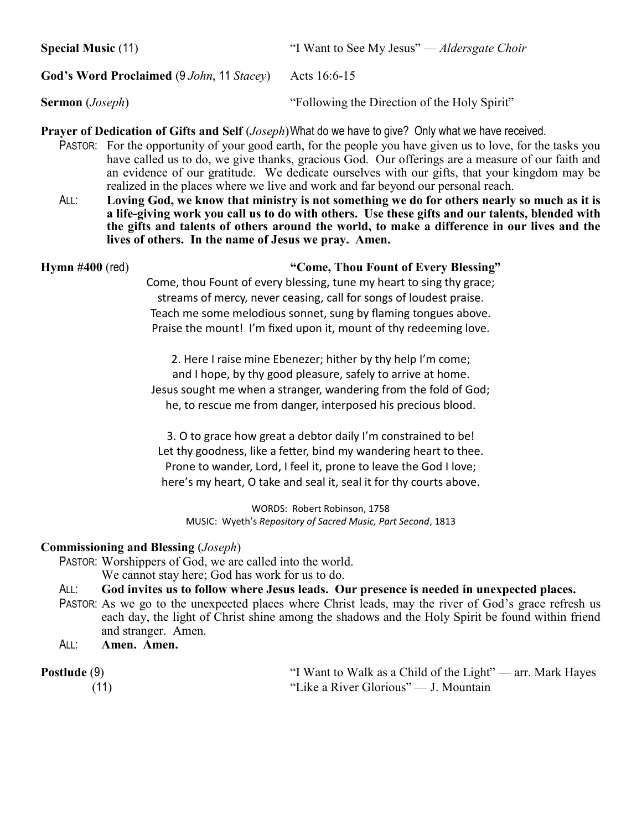**Special Music** (11) The See My Jesus" — *Aldersgate Choir* "I Want to See My Jesus" — *Aldersgate Choir* 

### **God's Word Proclaimed** (9 *John*, 11 *Stacey*) Acts 16:6-15

**Sermon** (*Joseph*) "Following the Direction of the Holy Spirit"

**Prayer of Dedication of Gifts and Self** (*Joseph*)What do we have to give? Only what we have received.

- PASTOR: For the opportunity of your good earth, for the people you have given us to love, for the tasks you have called us to do, we give thanks, gracious God. Our offerings are a measure of our faith and an evidence of our gratitude. We dedicate ourselves with our gifts, that your kingdom may be realized in the places where we live and work and far beyond our personal reach.
- ALL: **Loving God, we know that ministry is not something we do for others nearly so much as it is a life-giving work you call us to do with others. Use these gifts and our talents, blended with the gifts and talents of others around the world, to make a difference in our lives and the lives of others. In the name of Jesus we pray. Amen.**

### **Hymn #400** (red) **"Come, Thou Fount of Every Blessing"**

Come, thou Fount of every blessing, tune my heart to sing thy grace; streams of mercy, never ceasing, call for songs of loudest praise. Teach me some melodious sonnet, sung by flaming tongues above. Praise the mount! I'm fixed upon it, mount of thy redeeming love.

2. Here I raise mine Ebenezer; hither by thy help I'm come; and I hope, by thy good pleasure, safely to arrive at home. Jesus sought me when a stranger, wandering from the fold of God; he, to rescue me from danger, interposed his precious blood.

3. O to grace how great a debtor daily I'm constrained to be! Let thy goodness, like a fetter, bind my wandering heart to thee. Prone to wander, Lord, I feel it, prone to leave the God I love; here's my heart, O take and seal it, seal it for thy courts above.

WORDS: Robert Robinson, 1758 MUSIC: Wyeth's *Repository of Sacred Music, Part Second*, 1813

### **Commissioning and Blessing** (*Joseph*)

PASTOR: Worshippers of God, we are called into the world.

We cannot stay here; God has work for us to do.

### ALL: **God invites us to follow where Jesus leads. Our presence is needed in unexpected places.**

- PASTOR: As we go to the unexpected places where Christ leads, may the river of God's grace refresh us each day, the light of Christ shine among the shadows and the Holy Spirit be found within friend and stranger. Amen.
- ALL: **Amen. Amen.**

**Postlude** (9) "I Want to Walk as a Child of the Light" — arr. Mark Hayes (11) "Like a River Glorious" — J. Mountain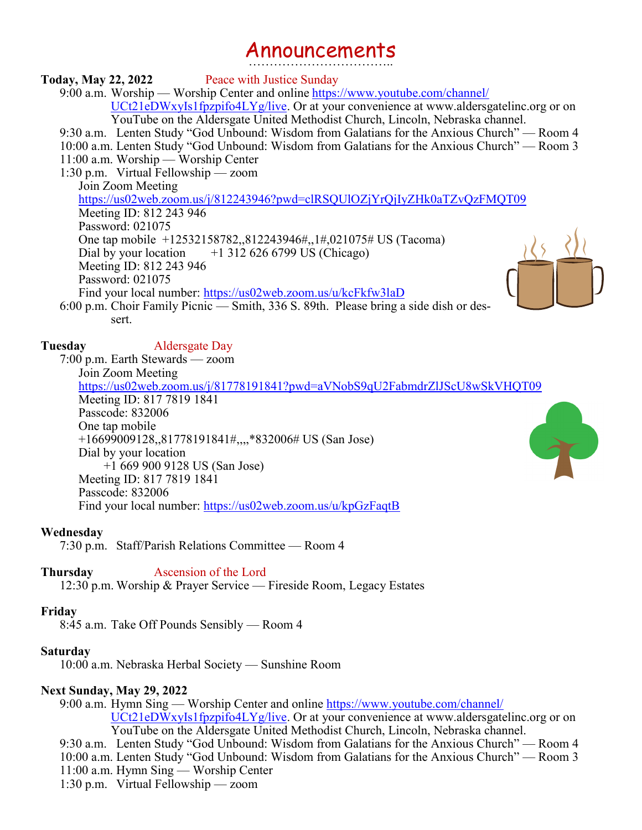## Announcements ……………………………..

### **Today, May 22, 2022** Peace with Justice Sunday

9:00 a.m. Worship — Worship Center and online https://www.youtube.com/channel/ UCt21eDWxyIs1fpzpifo4LYg/live. Or at your convenience at www.aldersgatelinc.org or on YouTube on the Aldersgate United Methodist Church, Lincoln, Nebraska channel.

9:30 a.m. Lenten Study "God Unbound: Wisdom from Galatians for the Anxious Church" — Room 4

10:00 a.m. Lenten Study "God Unbound: Wisdom from Galatians for the Anxious Church" — Room 3

11:00 a.m. Worship — Worship Center

1:30 p.m. Virtual Fellowship — zoom

Join Zoom Meeting

https://us02web.zoom.us/j/812243946?pwd=clRSQUlOZjYrQjIyZHk0aTZvQzFMQT09 Meeting ID: 812 243 946 Password: 021075 One tap mobile +12532158782,,812243946#,,1#,021075# US (Tacoma) Dial by your location  $+1$  312 626 6799 US (Chicago) Meeting ID: 812 243 946 Password: 021075 Find your local number: https://us02web.zoom.us/u/kcFkfw3laD



**Tuesday** Aldersgate Day

7:00 p.m. Earth Stewards — zoom Join Zoom Meeting https://us02web.zoom.us/j/81778191841?pwd=aVNobS9qU2FabmdrZlJScU8wSkVHQT09 Meeting ID: 817 7819 1841 Passcode: 832006 One tap mobile +16699009128,,81778191841#,,,,\*832006# US (San Jose) Dial by your location +1 669 900 9128 US (San Jose) Meeting ID: 817 7819 1841 Passcode: 832006 Find your local number: https://us02web.zoom.us/u/kpGzFaqtB

### **Wednesday**

7:30 p.m. Staff/Parish Relations Committee — Room 4

### **Thursday** Ascension of the Lord

12:30 p.m. Worship & Prayer Service — Fireside Room, Legacy Estates

### **Friday**

8:45 a.m. Take Off Pounds Sensibly — Room 4

### **Saturday**

10:00 a.m. Nebraska Herbal Society — Sunshine Room

### **Next Sunday, May 29, 2022**

9:00 a.m. Hymn Sing — Worship Center and online https://www.youtube.com/channel/ UCt21eDWxyIs1fpzpifo4LYg/live. Or at your convenience at www.aldersgatelinc.org or on YouTube on the Aldersgate United Methodist Church, Lincoln, Nebraska channel.

9:30 a.m. Lenten Study "God Unbound: Wisdom from Galatians for the Anxious Church" — Room 4 10:00 a.m. Lenten Study "God Unbound: Wisdom from Galatians for the Anxious Church" — Room 3 11:00 a.m. Hymn Sing — Worship Center

1:30 p.m. Virtual Fellowship — zoom